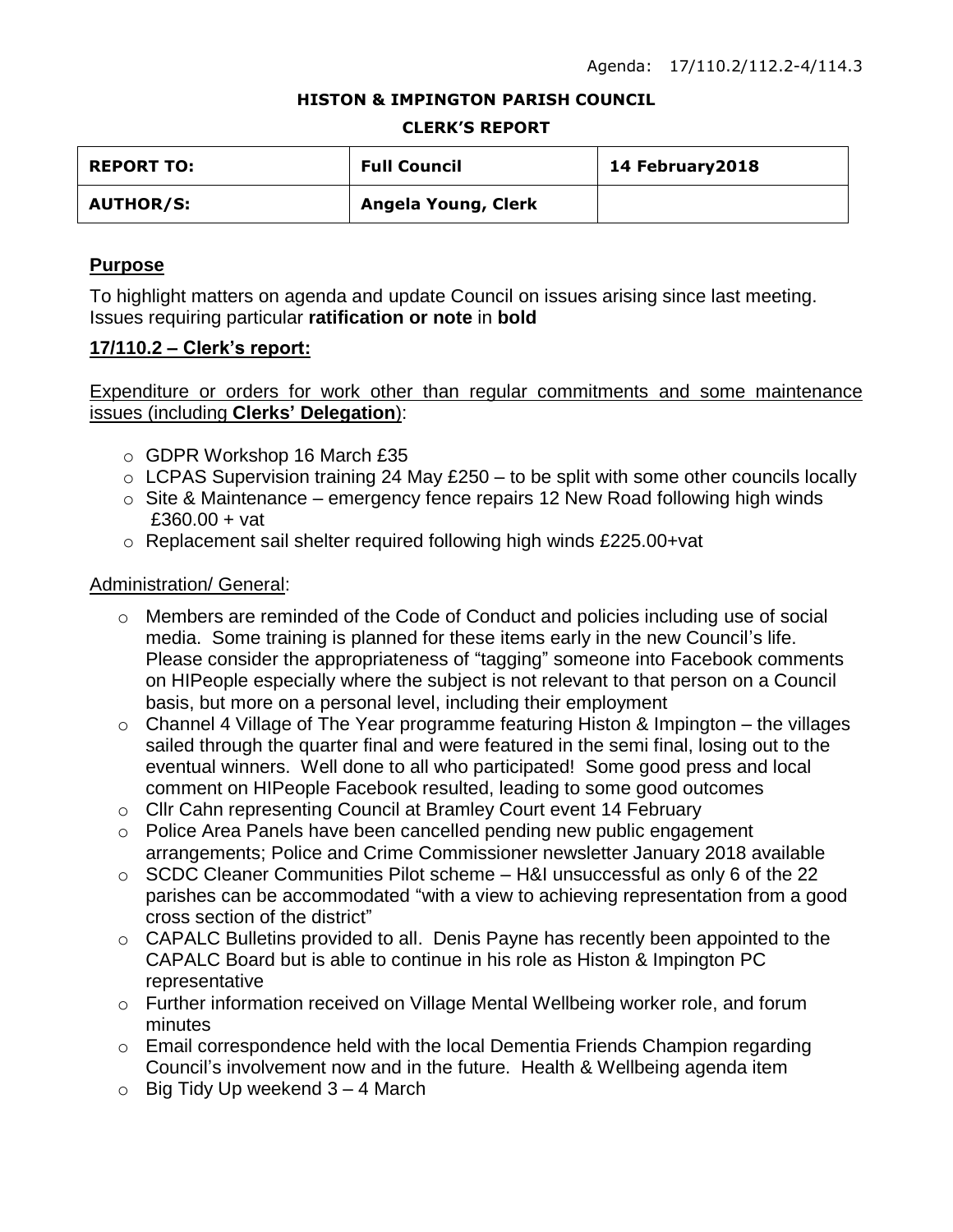#### **HISTON & IMPINGTON PARISH COUNCIL**

#### **CLERK'S REPORT**

| <b>REPORT TO:</b> | <b>Full Council</b> | 14 February 2018 |
|-------------------|---------------------|------------------|
| <b>AUTHOR/S:</b>  | Angela Young, Clerk |                  |

### **Purpose**

To highlight matters on agenda and update Council on issues arising since last meeting. Issues requiring particular **ratification or note** in **bold**

### **17/110.2 – Clerk's report:**

Expenditure or orders for work other than regular commitments and some maintenance issues (including **Clerks' Delegation**):

- o GDPR Workshop 16 March £35
- $\circ$  LCPAS Supervision training 24 May £250 to be split with some other councils locally
- $\circ$  Site & Maintenance emergency fence repairs 12 New Road following high winds £360.00 + vat
- o Replacement sail shelter required following high winds £225.00+vat

### Administration/ General:

- o Members are reminded of the Code of Conduct and policies including use of social media. Some training is planned for these items early in the new Council's life. Please consider the appropriateness of "tagging" someone into Facebook comments on HIPeople especially where the subject is not relevant to that person on a Council basis, but more on a personal level, including their employment
- $\circ$  Channel 4 Village of The Year programme featuring Histon & Impington the villages sailed through the quarter final and were featured in the semi final, losing out to the eventual winners. Well done to all who participated! Some good press and local comment on HIPeople Facebook resulted, leading to some good outcomes
- o Cllr Cahn representing Council at Bramley Court event 14 February
- o Police Area Panels have been cancelled pending new public engagement arrangements; Police and Crime Commissioner newsletter January 2018 available
- o SCDC Cleaner Communities Pilot scheme H&I unsuccessful as only 6 of the 22 parishes can be accommodated "with a view to achieving representation from a good cross section of the district"
- o CAPALC Bulletins provided to all. Denis Payne has recently been appointed to the CAPALC Board but is able to continue in his role as Histon & Impington PC representative
- o Further information received on Village Mental Wellbeing worker role, and forum minutes
- o Email correspondence held with the local Dementia Friends Champion regarding Council's involvement now and in the future. Health & Wellbeing agenda item
- $\circ$  Big Tidy Up weekend 3 4 March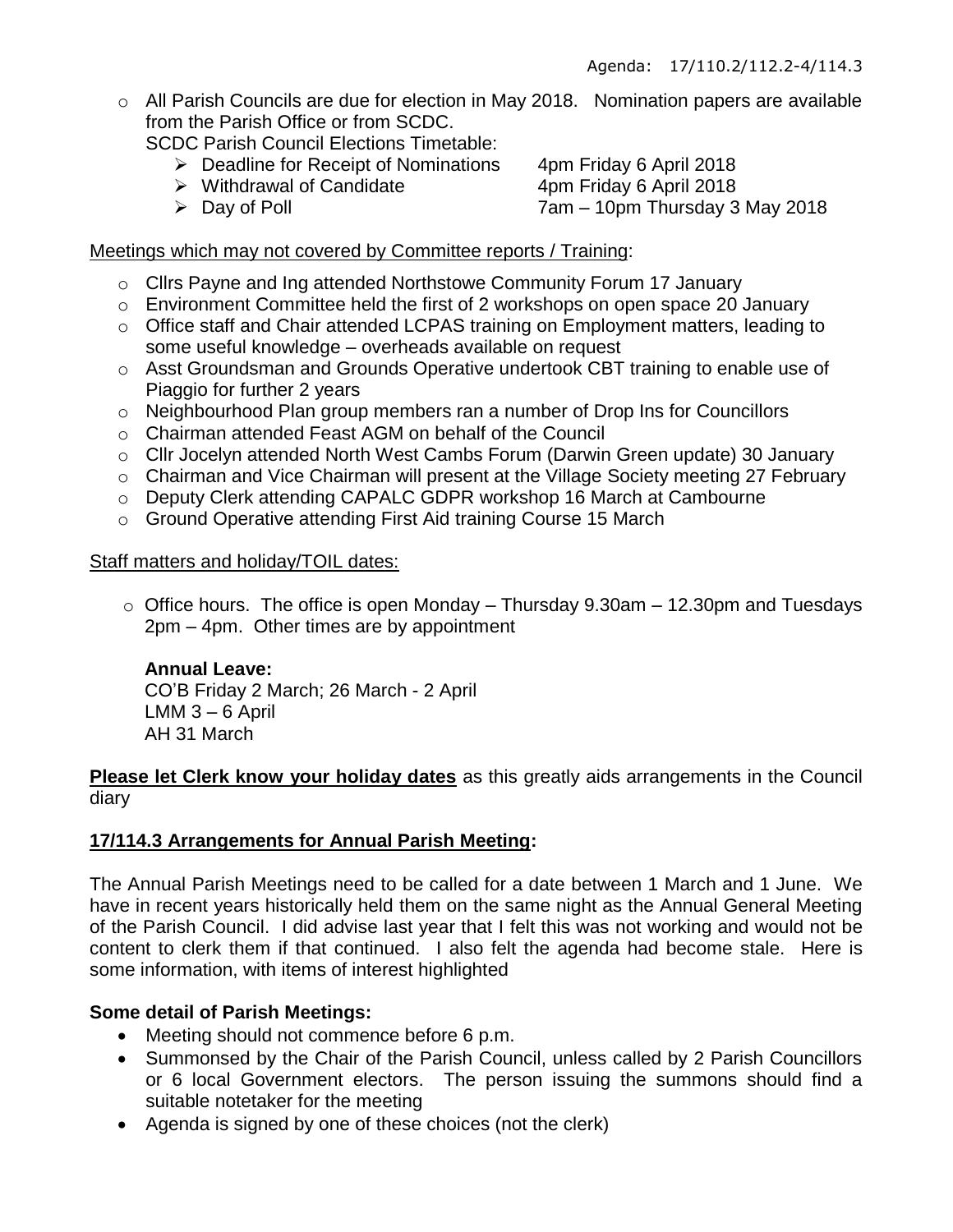$\circ$  All Parish Councils are due for election in May 2018. Nomination papers are available from the Parish Office or from SCDC.

SCDC Parish Council Elections Timetable:

- ▶ Deadline for Receipt of Nominations 4pm Friday 6 April 2018
- ▶ Withdrawal of Candidate 4pm Friday 6 April 2018
- 

Day of Poll 7am – 10pm Thursday 3 May 2018

### Meetings which may not covered by Committee reports / Training:

- o Cllrs Payne and Ing attended Northstowe Community Forum 17 January
- o Environment Committee held the first of 2 workshops on open space 20 January
- o Office staff and Chair attended LCPAS training on Employment matters, leading to some useful knowledge – overheads available on request
- o Asst Groundsman and Grounds Operative undertook CBT training to enable use of Piaggio for further 2 years
- o Neighbourhood Plan group members ran a number of Drop Ins for Councillors
- o Chairman attended Feast AGM on behalf of the Council
- o Cllr Jocelyn attended North West Cambs Forum (Darwin Green update) 30 January
- o Chairman and Vice Chairman will present at the Village Society meeting 27 February
- o Deputy Clerk attending CAPALC GDPR workshop 16 March at Cambourne
- o Ground Operative attending First Aid training Course 15 March

## Staff matters and holiday/TOIL dates:

 $\circ$  Office hours. The office is open Monday – Thursday 9.30am – 12.30pm and Tuesdays 2pm – 4pm. Other times are by appointment

### **Annual Leave:**

CO'B Friday 2 March; 26 March - 2 April LMM 3 – 6 April AH 31 March

**Please let Clerk know your holiday dates** as this greatly aids arrangements in the Council diary

## **17/114.3 Arrangements for Annual Parish Meeting:**

The Annual Parish Meetings need to be called for a date between 1 March and 1 June. We have in recent years historically held them on the same night as the Annual General Meeting of the Parish Council. I did advise last year that I felt this was not working and would not be content to clerk them if that continued. I also felt the agenda had become stale. Here is some information, with items of interest highlighted

## **Some detail of Parish Meetings:**

- Meeting should not commence before 6 p.m.
- Summonsed by the Chair of the Parish Council, unless called by 2 Parish Councillors or 6 local Government electors. The person issuing the summons should find a suitable notetaker for the meeting
- Agenda is signed by one of these choices (not the clerk)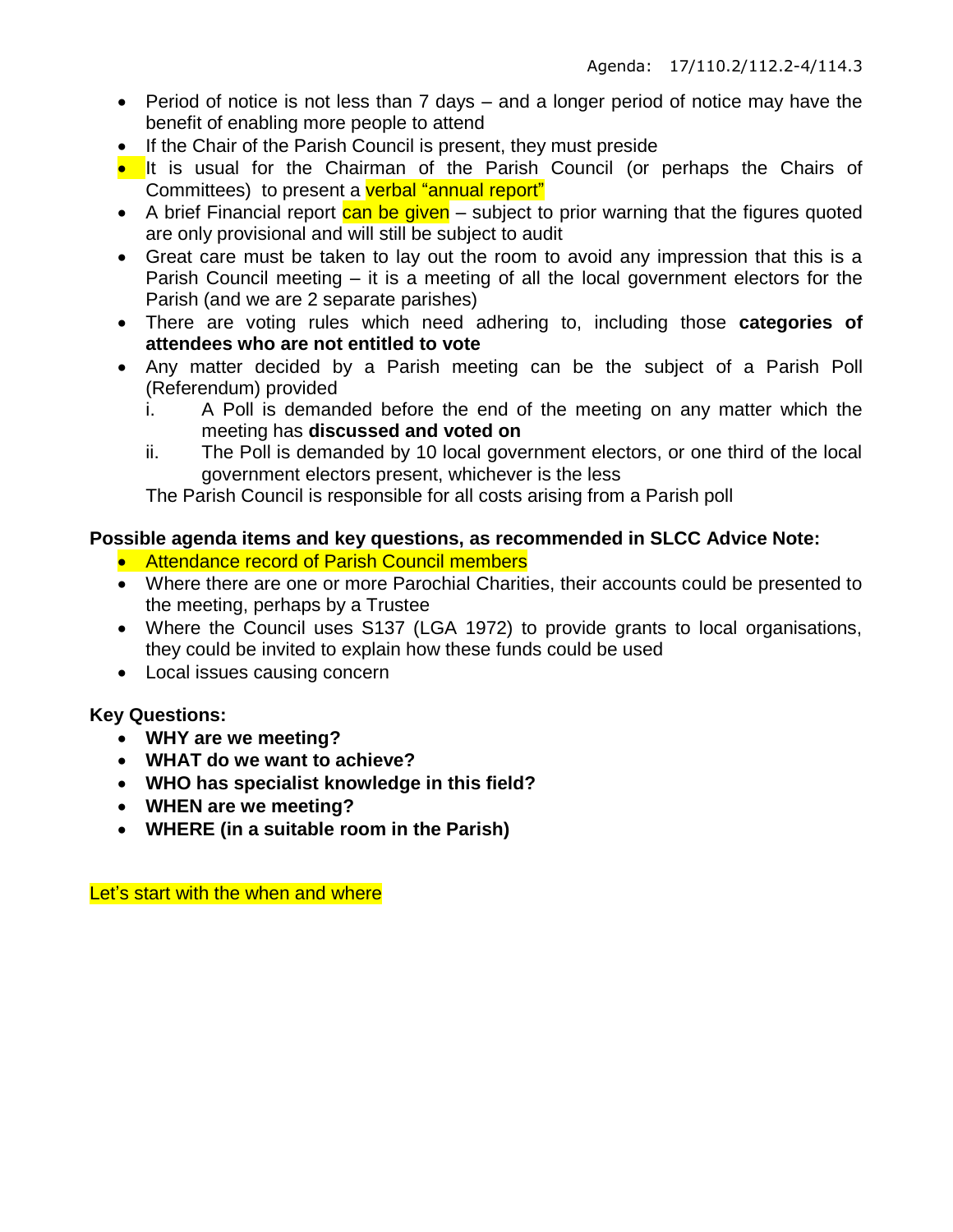- Period of notice is not less than 7 days and a longer period of notice may have the benefit of enabling more people to attend
- If the Chair of the Parish Council is present, they must preside
- It is usual for the Chairman of the Parish Council (or perhaps the Chairs of Committees) to present a verbal "annual report"
- $\bullet$  A brief Financial report can be given subject to prior warning that the figures quoted are only provisional and will still be subject to audit
- Great care must be taken to lay out the room to avoid any impression that this is a Parish Council meeting – it is a meeting of all the local government electors for the Parish (and we are 2 separate parishes)
- There are voting rules which need adhering to, including those **categories of attendees who are not entitled to vote**
- Any matter decided by a Parish meeting can be the subject of a Parish Poll (Referendum) provided
	- i. A Poll is demanded before the end of the meeting on any matter which the meeting has **discussed and voted on**
	- ii. The Poll is demanded by 10 local government electors, or one third of the local government electors present, whichever is the less

The Parish Council is responsible for all costs arising from a Parish poll

## **Possible agenda items and key questions, as recommended in SLCC Advice Note:**

- Attendance record of Parish Council members
- Where there are one or more Parochial Charities, their accounts could be presented to the meeting, perhaps by a Trustee
- Where the Council uses S137 (LGA 1972) to provide grants to local organisations, they could be invited to explain how these funds could be used
- Local issues causing concern

## **Key Questions:**

- **WHY are we meeting?**
- **WHAT do we want to achieve?**
- **WHO has specialist knowledge in this field?**
- **WHEN are we meeting?**
- **WHERE (in a suitable room in the Parish)**

Let's start with the when and where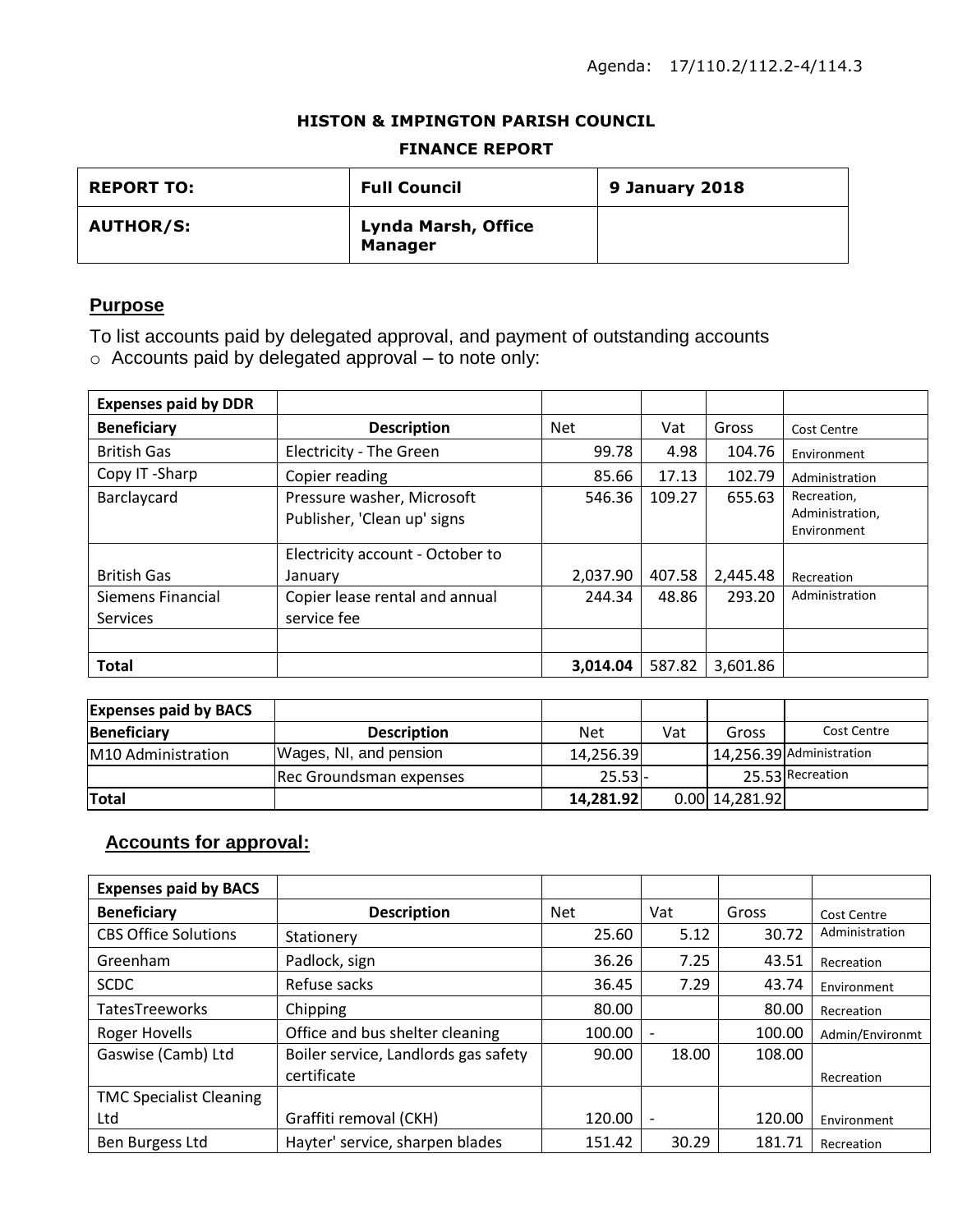#### **HISTON & IMPINGTON PARISH COUNCIL**

#### **FINANCE REPORT**

| <b>REPORT TO:</b> | <b>Full Council</b>                   | 9 January 2018 |
|-------------------|---------------------------------------|----------------|
| <b>AUTHOR/S:</b>  | Lynda Marsh, Office<br><b>Manager</b> |                |

## **Purpose**

To list accounts paid by delegated approval, and payment of outstanding accounts o Accounts paid by delegated approval – to note only:

| <b>Expenses paid by DDR</b>   |                                                           |            |        |          |                                               |
|-------------------------------|-----------------------------------------------------------|------------|--------|----------|-----------------------------------------------|
| <b>Beneficiary</b>            | <b>Description</b>                                        | <b>Net</b> | Vat    | Gross    | Cost Centre                                   |
| <b>British Gas</b>            | Electricity - The Green                                   | 99.78      | 4.98   | 104.76   | Environment                                   |
| Copy IT-Sharp                 | Copier reading                                            | 85.66      | 17.13  | 102.79   | Administration                                |
| Barclaycard                   | Pressure washer, Microsoft<br>Publisher, 'Clean up' signs | 546.36     | 109.27 | 655.63   | Recreation,<br>Administration,<br>Environment |
| <b>British Gas</b>            | Electricity account - October to<br>January               | 2,037.90   | 407.58 | 2,445.48 | Recreation                                    |
| Siemens Financial<br>Services | Copier lease rental and annual<br>service fee             | 244.34     | 48.86  | 293.20   | Administration                                |
|                               |                                                           |            |        |          |                                               |
| <b>Total</b>                  |                                                           | 3,014.04   | 587.82 | 3,601.86 |                                               |

| <b>Expenses paid by BACS</b> |                         |            |     |                  |                          |
|------------------------------|-------------------------|------------|-----|------------------|--------------------------|
| <b>Beneficiary</b>           | <b>Description</b>      | <b>Net</b> | Vat | Gross            | Cost Centre              |
| M10 Administration           | Wages, NI, and pension  | 14,256.39  |     |                  | 14,256.39 Administration |
|                              | Rec Groundsman expenses | $25.53$ -  |     |                  | 25.53 Recreation         |
| <b>Total</b>                 |                         | 14,281.92  |     | $0.00$ 14,281.92 |                          |

# **Accounts for approval:**

| <b>Expenses paid by BACS</b>   |                                      |            |       |        |                 |
|--------------------------------|--------------------------------------|------------|-------|--------|-----------------|
| <b>Beneficiary</b>             | <b>Description</b>                   | <b>Net</b> | Vat   | Gross  | Cost Centre     |
| <b>CBS Office Solutions</b>    | Stationery                           | 25.60      | 5.12  | 30.72  | Administration  |
| Greenham                       | Padlock, sign                        | 36.26      | 7.25  | 43.51  | Recreation      |
| <b>SCDC</b>                    | Refuse sacks                         | 36.45      | 7.29  | 43.74  | Environment     |
| <b>TatesTreeworks</b>          | Chipping                             | 80.00      |       | 80.00  | Recreation      |
| Roger Hovells                  | Office and bus shelter cleaning      | 100.00     |       | 100.00 | Admin/Environmt |
| Gaswise (Camb) Ltd             | Boiler service, Landlords gas safety | 90.00      | 18.00 | 108.00 |                 |
|                                | certificate                          |            |       |        | Recreation      |
| <b>TMC Specialist Cleaning</b> |                                      |            |       |        |                 |
| Ltd                            | Graffiti removal (CKH)               | 120.00     |       | 120.00 | Environment     |
| Ben Burgess Ltd                | Hayter' service, sharpen blades      | 151.42     | 30.29 | 181.71 | Recreation      |